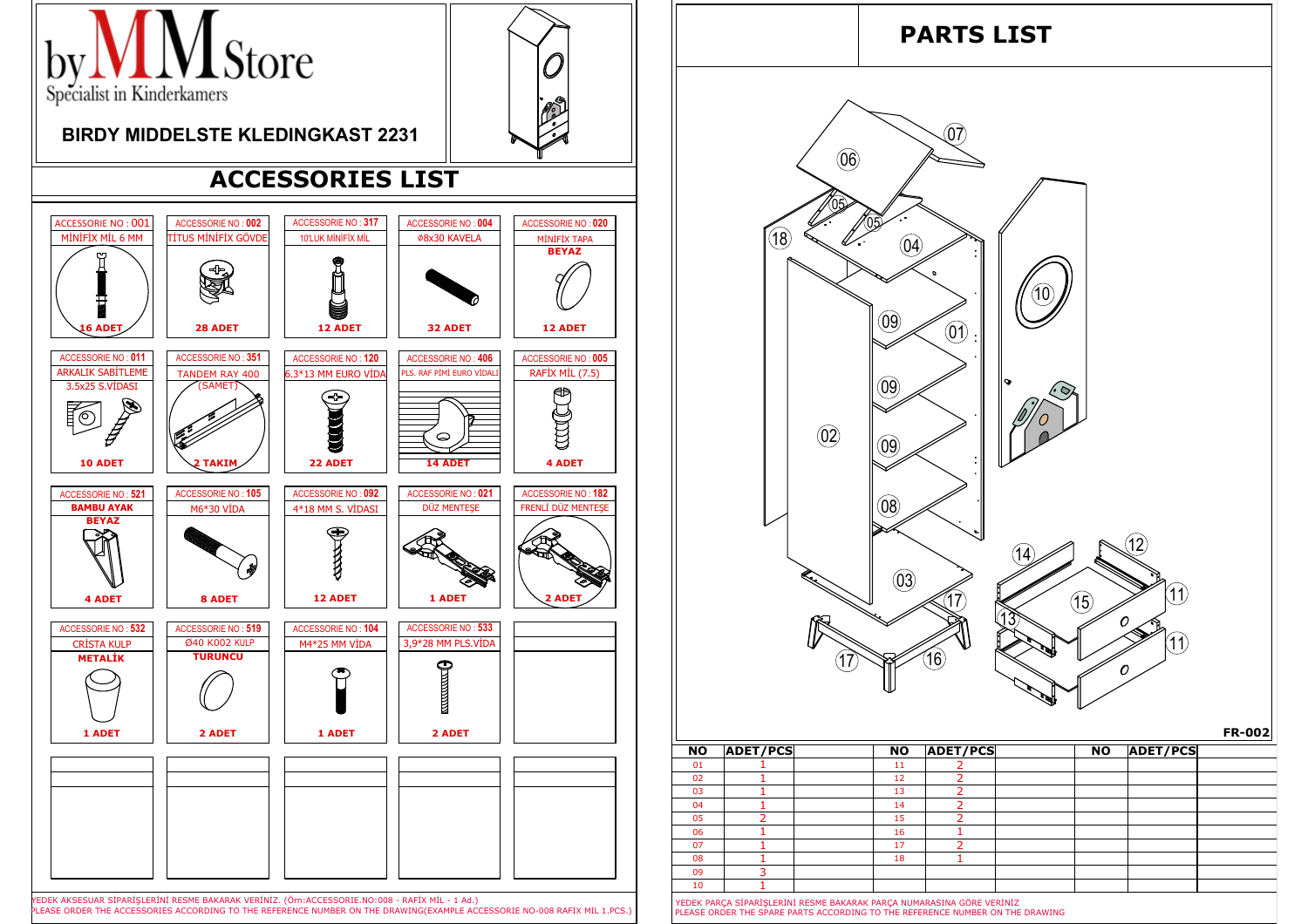

08 1<br>
09 3<br>
10 1<br>
YEDEK PARÇA SİPARİŞLERİNİ RESME BAKARAK PARÇA NUMARASINA GÖRE VERİNİZ<br>
PLEASE ORDER THE SPARE PARTS ACCORDING TO THE REFERENCE NUMBER ON THE DRAWING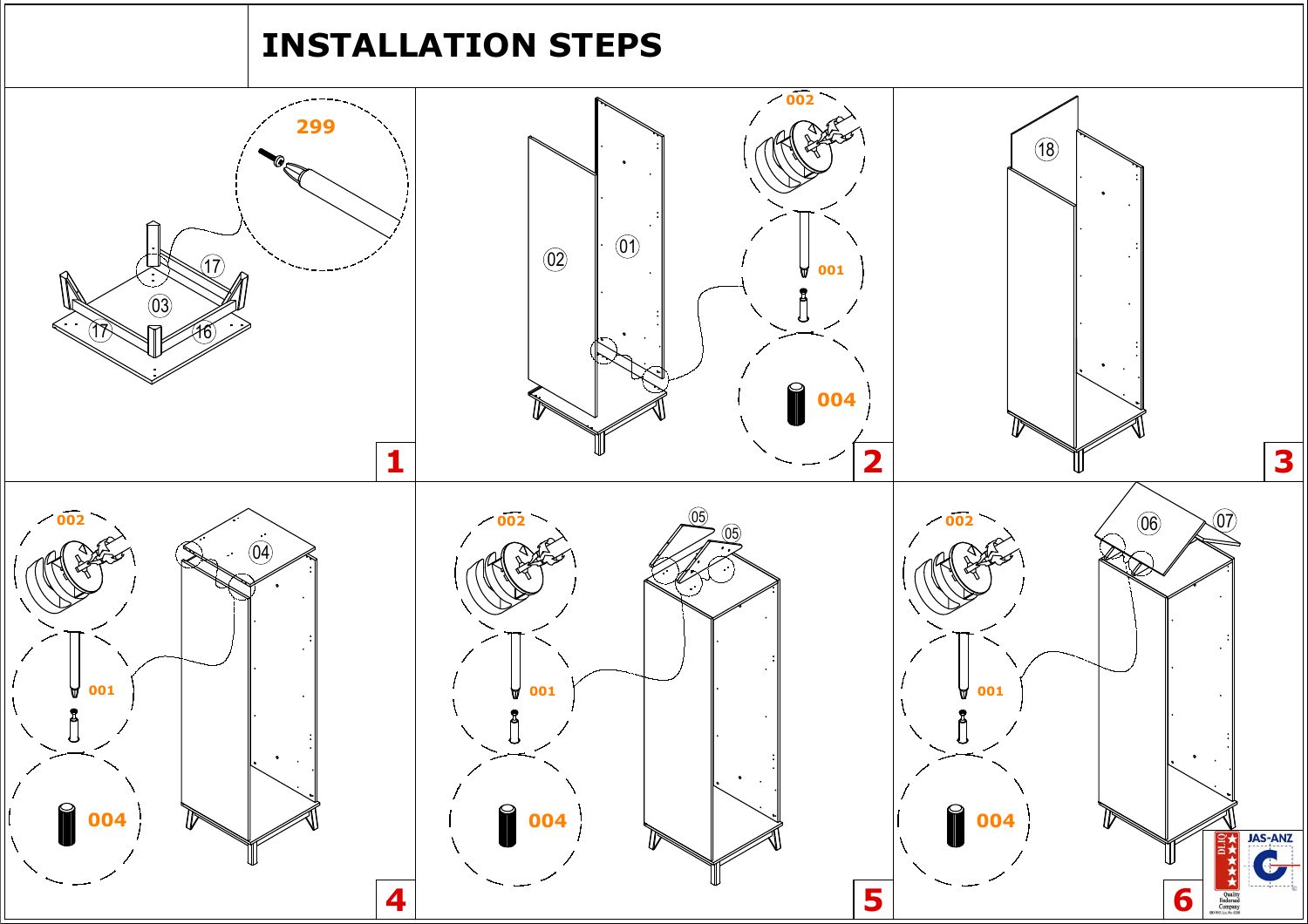